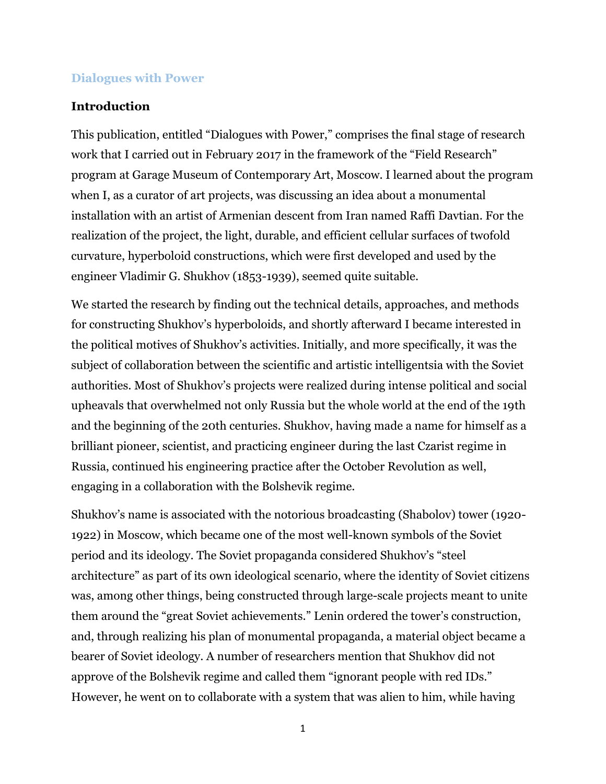## **Dialogues with Power**

## **Introduction**

This publication, entitled "Dialogues with Power," comprises the final stage of research work that I carried out in February 2017 in the framework of the "Field Research" program at Garage Museum of Contemporary Art, Moscow. I learned about the program when I, as a curator of art projects, was discussing an idea about a monumental installation with an artist of Armenian descent from Iran named Raffi Davtian. For the realization of the project, the light, durable, and efficient cellular surfaces of twofold curvature, hyperboloid constructions, which were first developed and used by the engineer Vladimir G. Shukhov (1853-1939), seemed quite suitable.

We started the research by finding out the technical details, approaches, and methods for constructing Shukhov's hyperboloids, and shortly afterward I became interested in the political motives of Shukhov's activities. Initially, and more specifically, it was the subject of collaboration between the scientific and artistic intelligentsia with the Soviet authorities. Most of Shukhov's projects were realized during intense political and social upheavals that overwhelmed not only Russia but the whole world at the end of the 19th and the beginning of the 20th centuries. Shukhov, having made a name for himself as a brilliant pioneer, scientist, and practicing engineer during the last Czarist regime in Russia, continued his engineering practice after the October Revolution as well, engaging in a collaboration with the Bolshevik regime.

Shukhov's name is associated with the notorious broadcasting (Shabolov) tower (1920- 1922) in Moscow, which became one of the most well-known symbols of the Soviet period and its ideology. The Soviet propaganda considered Shukhov's "steel architecture" as part of its own ideological scenario, where the identity of Soviet citizens was, among other things, being constructed through large-scale projects meant to unite them around the "great Soviet achievements." Lenin ordered the tower's construction, and, through realizing his plan of monumental propaganda, a material object became a bearer of Soviet ideology. A number of researchers mention that Shukhov did not approve of the Bolshevik regime and called them "ignorant people with red IDs." However, he went on to collaborate with a system that was alien to him, while having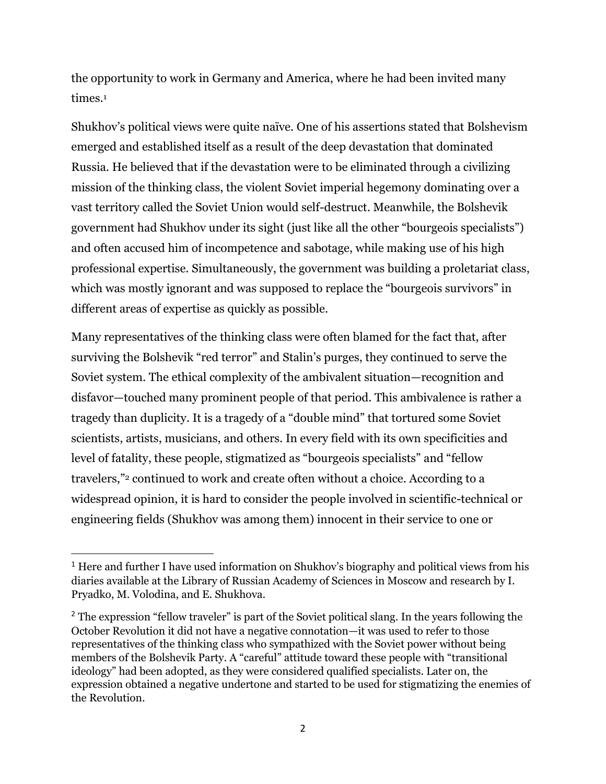the opportunity to work in Germany and America, where he had been invited many times.<sup>1</sup>

Shukhov's political views were quite naïve. One of his assertions stated that Bolshevism emerged and established itself as a result of the deep devastation that dominated Russia. He believed that if the devastation were to be eliminated through a civilizing mission of the thinking class, the violent Soviet imperial hegemony dominating over a vast territory called the Soviet Union would self-destruct. Meanwhile, the Bolshevik government had Shukhov under its sight (just like all the other "bourgeois specialists") and often accused him of incompetence and sabotage, while making use of his high professional expertise. Simultaneously, the government was building a proletariat class, which was mostly ignorant and was supposed to replace the "bourgeois survivors" in different areas of expertise as quickly as possible.

Many representatives of the thinking class were often blamed for the fact that, after surviving the Bolshevik "red terror" and Stalin's purges, they continued to serve the Soviet system. The ethical complexity of the ambivalent situation—recognition and disfavor—touched many prominent people of that period. This ambivalence is rather a tragedy than duplicity. It is a tragedy of a "double mind" that tortured some Soviet scientists, artists, musicians, and others. In every field with its own specificities and level of fatality, these people, stigmatized as "bourgeois specialists" and "fellow travelers,"<sup>2</sup> continued to work and create often without a choice. According to a widespread opinion, it is hard to consider the people involved in scientific-technical or engineering fields (Shukhov was among them) innocent in their service to one or

<sup>&</sup>lt;sup>1</sup> Here and further I have used information on Shukhov's biography and political views from his diaries available at the Library of Russian Academy of Sciences in Moscow and research by I. Pryadko, M. Volodina, and E. Shukhova.

<sup>&</sup>lt;sup>2</sup> The expression "fellow traveler" is part of the Soviet political slang. In the years following the October Revolution it did not have a negative connotation—it was used to refer to those representatives of the thinking class who sympathized with the Soviet power without being members of the Bolshevik Party. A "careful" attitude toward these people with "transitional ideology" had been adopted, as they were considered qualified specialists. Later on, the expression obtained a negative undertone and started to be used for stigmatizing the enemies of the Revolution.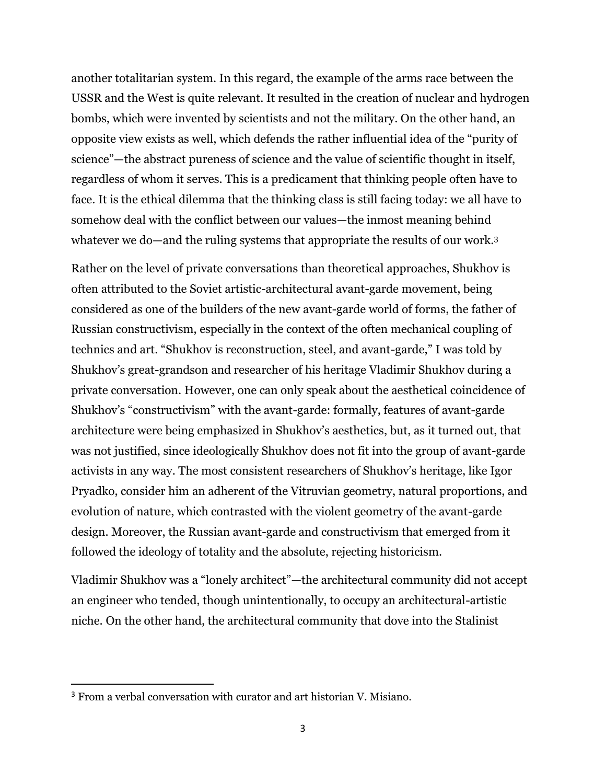another totalitarian system. In this regard, the example of the arms race between the USSR and the West is quite relevant. It resulted in the creation of nuclear and hydrogen bombs, which were invented by scientists and not the military. On the other hand, an opposite view exists as well, which defends the rather influential idea of the "purity of science"—the abstract pureness of science and the value of scientific thought in itself, regardless of whom it serves. This is a predicament that thinking people often have to face. It is the ethical dilemma that the thinking class is still facing today: we all have to somehow deal with the conflict between our values—the inmost meaning behind whatever we do—and the ruling systems that appropriate the results of our work.<sup>3</sup>

Rather on the level of private conversations than theoretical approaches, Shukhov is often attributed to the Soviet artistic-architectural avant-garde movement, being considered as one of the builders of the new avant-garde world of forms, the father of Russian constructivism, especially in the context of the often mechanical coupling of technics and art. "Shukhov is reconstruction, steel, and avant-garde," I was told by Shukhov's great-grandson and researcher of his heritage Vladimir Shukhov during a private conversation. However, one can only speak about the aesthetical coincidence of Shukhov's "constructivism" with the avant-garde: formally, features of avant-garde architecture were being emphasized in Shukhov's aesthetics, but, as it turned out, that was not justified, since ideologically Shukhov does not fit into the group of avant-garde activists in any way. The most consistent researchers of Shukhov's heritage, like Igor Pryadko, consider him an adherent of the Vitruvian geometry, natural proportions, and evolution of nature, which contrasted with the violent geometry of the avant-garde design. Moreover, the Russian avant-garde and constructivism that emerged from it followed the ideology of totality and the absolute, rejecting historicism.

Vladimir Shukhov was a "lonely architect"—the architectural community did not accept an engineer who tended, though unintentionally, to occupy an architectural-artistic niche. On the other hand, the architectural community that dove into the Stalinist

<sup>&</sup>lt;sup>3</sup> From a verbal conversation with curator and art historian V. Misiano.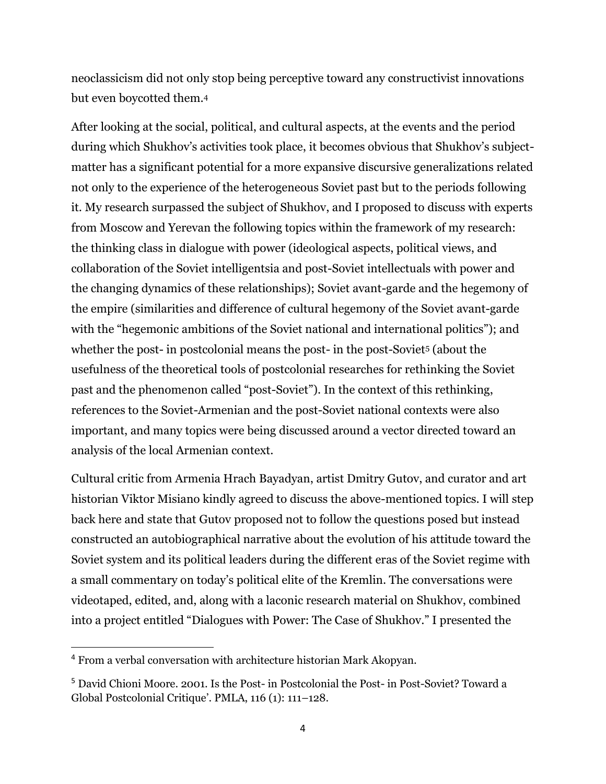neoclassicism did not only stop being perceptive toward any constructivist innovations but even boycotted them.<sup>4</sup>

After looking at the social, political, and cultural aspects, at the events and the period during which Shukhov's activities took place, it becomes obvious that Shukhov's subjectmatter has a significant potential for a more expansive discursive generalizations related not only to the experience of the heterogeneous Soviet past but to the periods following it. My research surpassed the subject of Shukhov, and I proposed to discuss with experts from Moscow and Yerevan the following topics within the framework of my research: the thinking class in dialogue with power (ideological aspects, political views, and collaboration of the Soviet intelligentsia and post-Soviet intellectuals with power and the changing dynamics of these relationships); Soviet avant-garde and the hegemony of the empire (similarities and difference of cultural hegemony of the Soviet avant-garde with the "hegemonic ambitions of the Soviet national and international politics"); and whether the post- in postcolonial means the post- in the post-Soviet<sup>5</sup> (about the usefulness of the theoretical tools of postcolonial researches for rethinking the Soviet past and the phenomenon called "post-Soviet"). In the context of this rethinking, references to the Soviet-Armenian and the post-Soviet national contexts were also important, and many topics were being discussed around a vector directed toward an analysis of the local Armenian context.

Cultural critic from Armenia Hrach Bayadyan, artist Dmitry Gutov, and curator and art historian Viktor Misiano kindly agreed to discuss the above-mentioned topics. I will step back here and state that Gutov proposed not to follow the questions posed but instead constructed an autobiographical narrative about the evolution of his attitude toward the Soviet system and its political leaders during the different eras of the Soviet regime with a small commentary on today's political elite of the Kremlin. The conversations were videotaped, edited, and, along with a laconic research material on Shukhov, combined into a project entitled "Dialogues with Power: The Case of Shukhov." I presented the

<sup>4</sup> From a verbal conversation with architecture historian Mark Akopyan.

<sup>5</sup> David Chioni Moore. 2001. Is the Post- in Postcolonial the Post- in Post-Soviet? Toward a Global Postcolonial Critique'. PMLA, 116 (1): 111–128.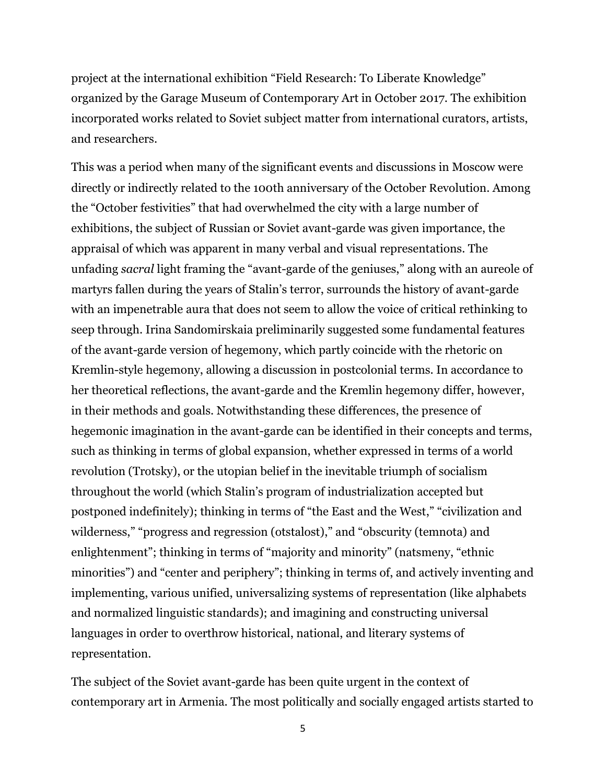project at the international exhibition "Field Research: To Liberate Knowledge" organized by the Garage Museum of Contemporary Art in October 2017. The exhibition incorporated works related to Soviet subject matter from international curators, artists, and researchers.

This was a period when many of the significant events and discussions in Moscow were directly or indirectly related to the 100th anniversary of the October Revolution. Among the "October festivities" that had overwhelmed the city with a large number of exhibitions, the subject of Russian or Soviet avant-garde was given importance, the appraisal of which was apparent in many verbal and visual representations. The unfading *sacral* light framing the "avant-garde of the geniuses," along with an aureole of martyrs fallen during the years of Stalin's terror, surrounds the history of avant-garde with an impenetrable aura that does not seem to allow the voice of critical rethinking to seep through. Irina Sandomirskaia preliminarily suggested some fundamental features of the avant-garde version of hegemony, which partly coincide with the rhetoric on Kremlin-style hegemony, allowing a discussion in postcolonial terms. In accordance to her theoretical reflections, the avant-garde and the Kremlin hegemony differ, however, in their methods and goals. Notwithstanding these differences, the presence of hegemonic imagination in the avant-garde can be identified in their concepts and terms, such as thinking in terms of global expansion, whether expressed in terms of a world revolution (Trotsky), or the utopian belief in the inevitable triumph of socialism throughout the world (which Stalin's program of industrialization accepted but postponed indefinitely); thinking in terms of "the East and the West," "civilization and wilderness," "progress and regression (otstalost)," and "obscurity (temnota) and enlightenment"; thinking in terms of "majority and minority" (natsmeny, "ethnic minorities") and "center and periphery"; thinking in terms of, and actively inventing and implementing, various unified, universalizing systems of representation (like alphabets and normalized linguistic standards); and imagining and constructing universal languages in order to overthrow historical, national, and literary systems of representation.

The subject of the Soviet avant-garde has been quite urgent in the context of contemporary art in Armenia. The most politically and socially engaged artists started to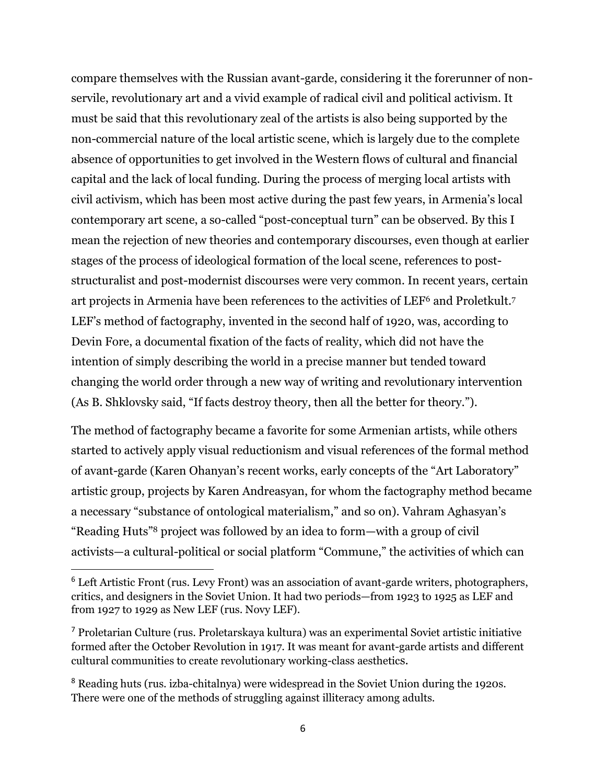compare themselves with the Russian avant-garde, considering it the forerunner of nonservile, revolutionary art and a vivid example of radical civil and political activism. It must be said that this revolutionary zeal of the artists is also being supported by the non-commercial nature of the local artistic scene, which is largely due to the complete absence of opportunities to get involved in the Western flows of cultural and financial capital and the lack of local funding. During the process of merging local artists with civil activism, which has been most active during the past few years, in Armenia's local contemporary art scene, a so-called "post-conceptual turn" can be observed. By this I mean the rejection of new theories and contemporary discourses, even though at earlier stages of the process of ideological formation of the local scene, references to poststructuralist and post-modernist discourses were very common. In recent years, certain art projects in Armenia have been references to the activities of LEF6 and Proletkult.<sup>7</sup> LEF's method of factography, invented in the second half of 1920, was, according to Devin Fore, a documental fixation of the facts of reality, which did not have the intention of simply describing the world in a precise manner but tended toward changing the world order through a new way of writing and revolutionary intervention (As B. Shklovsky said, "If facts destroy theory, then all the better for theory.").

The method of factography became a favorite for some Armenian artists, while others started to actively apply visual reductionism and visual references of the formal method of avant-garde (Karen Ohanyan's recent works, early concepts of the "Art Laboratory" artistic group, projects by Karen Andreasyan, for whom the factography method became a necessary "substance of ontological materialism," and so on). Vahram Aghasyan's "Reading Huts"<sup>8</sup> project was followed by an idea to form—with a group of civil activists—a cultural-political or social platform "Commune," the activities of which can

<sup>7</sup> Proletarian Culture (rus. Proletarskaya kultura) was an experimental Soviet artistic initiative formed after the October Revolution in 1917. It was meant for avant-garde artists and different cultural communities to create revolutionary working-class aesthetics.

<sup>8</sup> Reading huts (rus. izba-chitalnya) were widespread in the Soviet Union during the 1920s. There were one of the methods of struggling against illiteracy among adults.

<sup>&</sup>lt;sup>6</sup> Left Artistic Front (rus. Levy Front) was an association of avant-garde writers, photographers, critics, and designers in the Soviet Union. It had two periods—from 1923 to 1925 as LEF and from 1927 to 1929 as New LEF (rus. Novy LEF).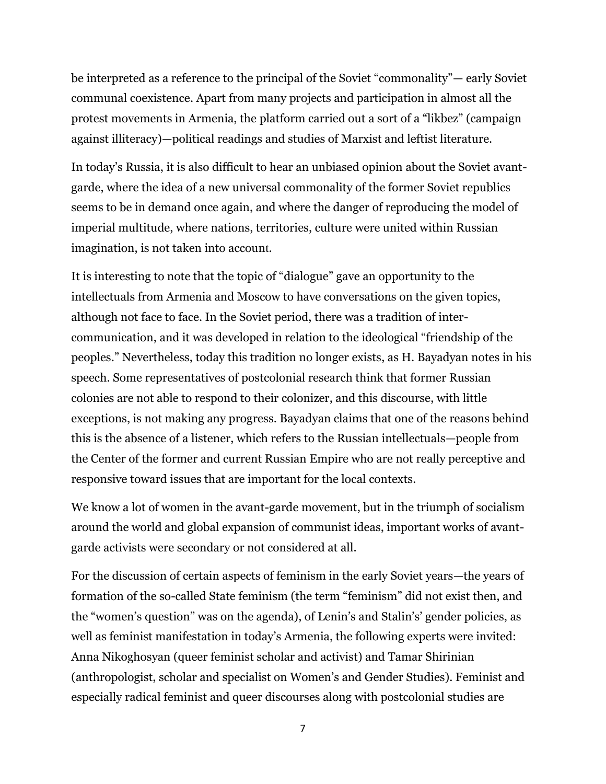be interpreted as a reference to the principal of the Soviet "commonality"— early Soviet communal coexistence. Apart from many projects and participation in almost all the protest movements in Armenia, the platform carried out a sort of a "likbez" (campaign against illiteracy)—political readings and studies of Marxist and leftist literature.

In today's Russia, it is also difficult to hear an unbiased opinion about the Soviet avantgarde, where the idea of a new universal commonality of the former Soviet republics seems to be in demand once again, and where the danger of reproducing the model of imperial multitude, where nations, territories, culture were united within Russian imagination, is not taken into account.

It is interesting to note that the topic of "dialogue" gave an opportunity to the intellectuals from Armenia and Moscow to have conversations on the given topics, although not face to face. In the Soviet period, there was a tradition of intercommunication, and it was developed in relation to the ideological "friendship of the peoples." Nevertheless, today this tradition no longer exists, as H. Bayadyan notes in his speech. Some representatives of postcolonial research think that former Russian colonies are not able to respond to their colonizer, and this discourse, with little exceptions, is not making any progress. Bayadyan claims that one of the reasons behind this is the absence of a listener, which refers to the Russian intellectuals—people from the Center of the former and current Russian Empire who are not really perceptive and responsive toward issues that are important for the local contexts.

We know a lot of women in the avant-garde movement, but in the triumph of socialism around the world and global expansion of communist ideas, important works of avantgarde activists were secondary or not considered at all.

For the discussion of certain aspects of feminism in the early Soviet years—the years of formation of the so-called State feminism (the term "feminism" did not exist then, and the "women's question" was on the agenda), of Lenin's and Stalin's' gender policies, as well as feminist manifestation in today's Armenia, the following experts were invited: Anna Nikoghosyan (queer feminist scholar and activist) and Tamar Shirinian (anthropologist, scholar and specialist on Womеn's and Gender Studies). Feminist and especially radical feminist and queer discourses along with postcolonial studies are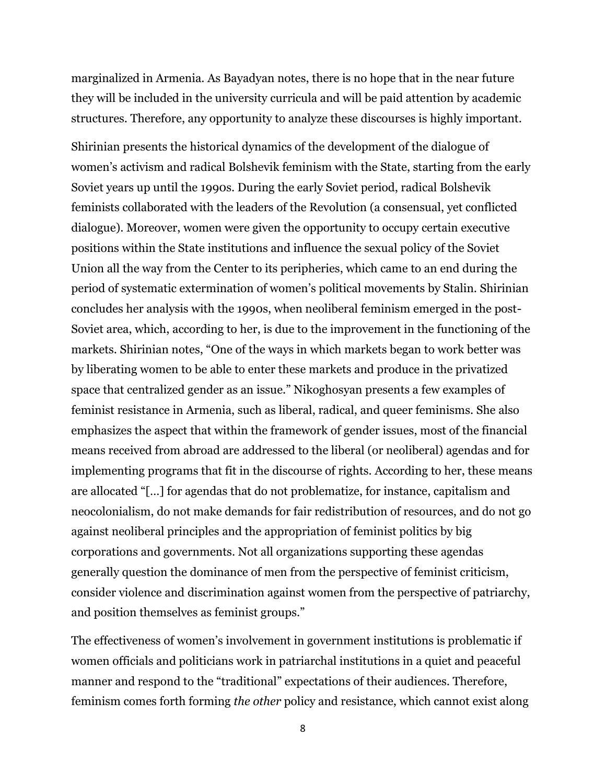marginalized in Armenia. As Bayadyan notes, there is no hope that in the near future they will be included in the university curricula and will be paid attention by academic structures. Therefore, any opportunity to analyze these discourses is highly important.

Shirinian presents the historical dynamics of the development of the dialogue of women's activism and radical Bolshevik feminism with the State, starting from the early Soviet years up until the 1990s. During the early Soviet period, radical Bolshevik feminists collaborated with the leaders of the Revolution (a consensual, yet conflicted dialogue). Moreover, women were given the opportunity to occupy certain executive positions within the State institutions and influence the sexual policy of the Soviet Union all the way from the Center to its peripheries, which came to an end during the period of systematic extermination of women's political movements by Stalin. Shirinian concludes her analysis with the 1990s, when neoliberal feminism emerged in the post-Soviet area, which, according to her, is due to the improvement in the functioning of the markets. Shirinian notes, "One of the ways in which markets began to work better was by liberating women to be able to enter these markets and produce in the privatized space that centralized gender as an issue." Nikoghosyan presents a few examples of feminist resistance in Armenia, such as liberal, radical, and queer feminisms. She also emphasizes the aspect that within the framework of gender issues, most of the financial means received from abroad are addressed to the liberal (or neoliberal) agendas and for implementing programs that fit in the discourse of rights. According to her, these means are allocated "[…] for agendas that do not problematize, for instance, capitalism and neocolonialism, do not make demands for fair redistribution of resources, and do not go against neoliberal principles and the appropriation of feminist politics by big corporations and governments. Not all organizations supporting these agendas generally question the dominance of men from the perspective of feminist criticism, consider violence and discrimination against women from the perspective of patriarchy, and position themselves as feminist groups."

The effectiveness of women's involvement in government institutions is problematic if women officials and politicians work in patriarchal institutions in a quiet and peaceful manner and respond to the "traditional" expectations of their audiences. Therefore, feminism comes forth forming *the other* policy and resistance, which cannot exist along

8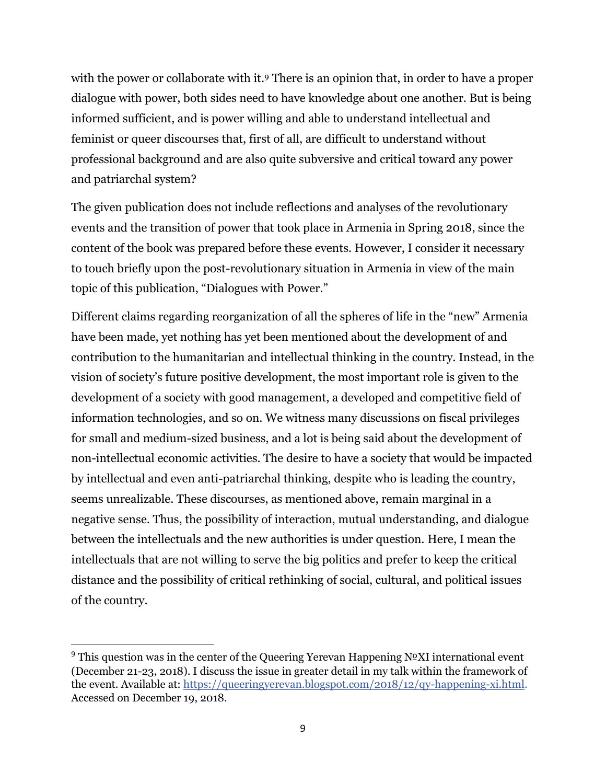with the power or collaborate with it. There is an opinion that, in order to have a proper dialogue with power, both sides need to have knowledge about one another. But is being informed sufficient, and is power willing and able to understand intellectual and feminist or queer discourses that, first of all, are difficult to understand without professional background and are also quite subversive and critical toward any power and patriarchal system?

The given publication does not include reflections and analyses of the revolutionary events and the transition of power that took place in Armenia in Spring 2018, since the content of the book was prepared before these events. However, I consider it necessary to touch briefly upon the post-revolutionary situation in Armenia in view of the main topic of this publication, "Dialogues with Power."

Different claims regarding reorganization of all the spheres of life in the "new" Armenia have been made, yet nothing has yet been mentioned about the development of and contribution to the humanitarian and intellectual thinking in the country. Instead, in the vision of society's future positive development, the most important role is given to the development of a society with good management, a developed and competitive field of information technologies, and so on. We witness many discussions on fiscal privileges for small and medium-sized business, and a lot is being said about the development of non-intellectual economic activities. The desire to have a society that would be impacted by intellectual and even anti-patriarchal thinking, despite who is leading the country, seems unrealizable. These discourses, as mentioned above, remain marginal in a negative sense. Thus, the possibility of interaction, mutual understanding, and dialogue between the intellectuals and the new authorities is under question. Here, I mean the intellectuals that are not willing to serve the big politics and prefer to keep the critical distance and the possibility of critical rethinking of social, cultural, and political issues of the country.

<sup>&</sup>lt;sup>9</sup> This question was in the center of the Queering Yerevan Happening  $N<sup>o</sup>XI$  international event (December 21-23, 2018). I discuss the issue in greater detail in my talk within the framework of the event. Available at: [https://queeringyerevan.blogspot.com/2018/12/qy-happening-xi.html.](https://l.facebook.com/l.php?u=https://queeringyerevan.blogspot.com/2018/12/qy-happening-xi.html?fbclid=IwAR3oOWadrZnj0Qe-G6xA8suM3tJPQUoFLdl9m6WbDOYX9RXQA-gAajGioI4&h=AT1VVAolc20-9aC5-fiRXAQtlo-hBSBmqgoTTLN5WNuJm2g8j0ookHL_htcnRMRUtztWMeICTipslPMDaPeBp4vJBf6vOiPuh8douHHLzkm36Y0FYwjIvYYeDw23Jqd8aw) Accessed on December 19, 2018.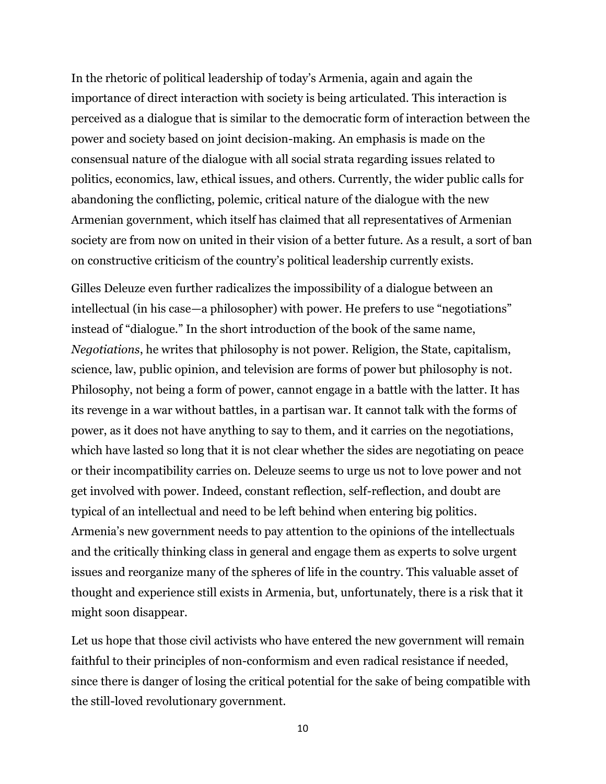In the rhetoric of political leadership of today's Armenia, again and again the importance of direct interaction with society is being articulated. This interaction is perceived as a dialogue that is similar to the democratic form of interaction between the power and society based on joint decision-making. An emphasis is made on the consensual nature of the dialogue with all social strata regarding issues related to politics, economics, law, ethical issues, and others. Currently, the wider public calls for abandoning the conflicting, polemic, critical nature of the dialogue with the new Armenian government, which itself has claimed that all representatives of Armenian society are from now on united in their vision of a better future. As a result, a sort of ban on constructive criticism of the country's political leadership currently exists.

Gilles Deleuze even further radicalizes the impossibility of a dialogue between an intellectual (in his case—a philosopher) with power. He prefers to use "negotiations" instead of "dialogue." In the short introduction of the book of the same name, *Negotiations*, he writes that philosophy is not power. Religion, the State, capitalism, science, law, public opinion, and television are forms of power but philosophy is not. Philosophy, not being a form of power, cannot engage in a battle with the latter. It has its revenge in a war without battles, in a partisan war. It cannot talk with the forms of power, as it does not have anything to say to them, and it carries on the negotiations, which have lasted so long that it is not clear whether the sides are negotiating on peace or their incompatibility carries on. Deleuze seems to urge us not to love power and not get involved with power. Indeed, constant reflection, self-reflection, and doubt are typical of an intellectual and need to be left behind when entering big politics. Armenia's new government needs to pay attention to the opinions of the intellectuals and the critically thinking class in general and engage them as experts to solve urgent issues and reorganize many of the spheres of life in the country. This valuable asset of thought and experience still exists in Armenia, but, unfortunately, there is a risk that it might soon disappear.

Let us hope that those civil activists who have entered the new government will remain faithful to their principles of non-conformism and even radical resistance if needed, since there is danger of losing the critical potential for the sake of being compatible with the still-loved revolutionary government.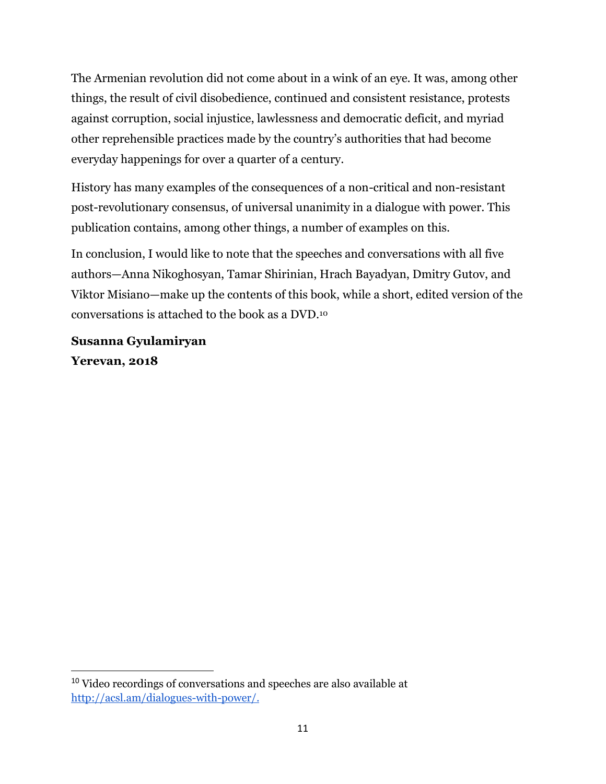The Armenian revolution did not come about in a wink of an eye. It was, among other things, the result of civil disobedience, continued and consistent resistance, protests against corruption, social injustice, lawlessness and democratic deficit, and myriad other reprehensible practices made by the country's authorities that had become everyday happenings for over a quarter of a century.

History has many examples of the consequences of a non-critical and non-resistant post-revolutionary consensus, of universal unanimity in a dialogue with power. This publication contains, among other things, a number of examples on this.

In conclusion, I would like to note that the speeches and conversations with all five authors—Anna Nikoghosyan, Tamar Shirinian, Hrach Bayadyan, Dmitry Gutov, and Viktor Misiano—make up the contents of this book, while a short, edited version of the conversations is attached to the book as a DVD.<sup>10</sup>

**Susanna Gyulamiryan Yerevan, 2018** 

<sup>&</sup>lt;sup>10</sup> Video recordings of conversations and speeches are also available at [http://acsl.am/dialogues-with-power/.](http://acsl.am/dialogues-with-power/#inbox/_blank)